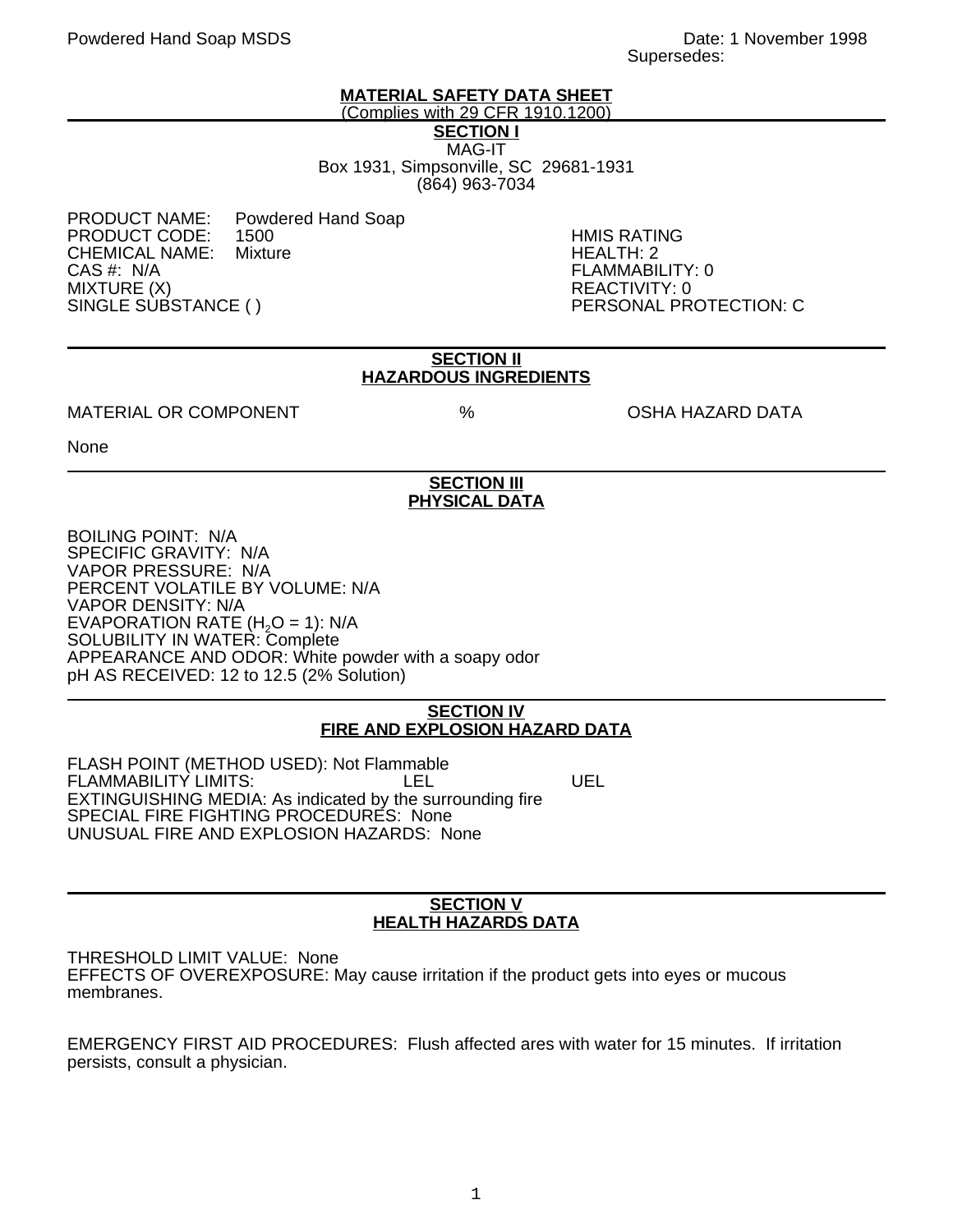## **MATERIAL SAFETY DATA SHEET**

(Complies with 29 CFR 1910.1200)

**SECTION I** MAG-IT Box 1931, Simpsonville, SC 29681-1931 (864) 963-7034

PRODUCT NAME: Powdered Hand Soap<br>PRODUCT CODE: 1500 PRODUCT CODE: 1500 HMIS RATING CHEMICAL NAME:<br>CAS #: N/A MIXTURE (X)<br>SINGLE SUBSTANCE ( ) REACTIVITY: 0

FLAMMABILITY: 0 PERSONAL PROTECTION: C

#### **SECTION II HAZARDOUS INGREDIENTS**

### MATERIAL OR COMPONENT  $\%$  % OSHA HAZARD DATA

None

# **SECTION III PHYSICAL DATA**

BOILING POINT: N/A SPECIFIC GRAVITY: N/A VAPOR PRESSURE: N/A PERCENT VOLATILE BY VOLUME: N/A VAPOR DENSITY: N/A EVAPORATION RATE  $(H<sub>2</sub>O = 1)$ : N/A SOLUBILITY IN WATER: Complete APPEARANCE AND ODOR: White powder with a soapy odor pH AS RECEIVED: 12 to 12.5 (2% Solution)

# **SECTION IV FIRE AND EXPLOSION HAZARD DATA**

FLASH POINT (METHOD USED): Not Flammable FLAMMABILITY LIMITS: LEL LEL UEL EXTINGUISHING MEDIA: As indicated by the surrounding fire SPECIAL FIRE FIGHTING PROCEDURES: None UNUSUAL FIRE AND EXPLOSION HAZARDS: None

### **SECTION V HEALTH HAZARDS DATA**

THRESHOLD LIMIT VALUE: None EFFECTS OF OVEREXPOSURE: May cause irritation if the product gets into eyes or mucous membranes.

EMERGENCY FIRST AID PROCEDURES: Flush affected ares with water for 15 minutes. If irritation persists, consult a physician.